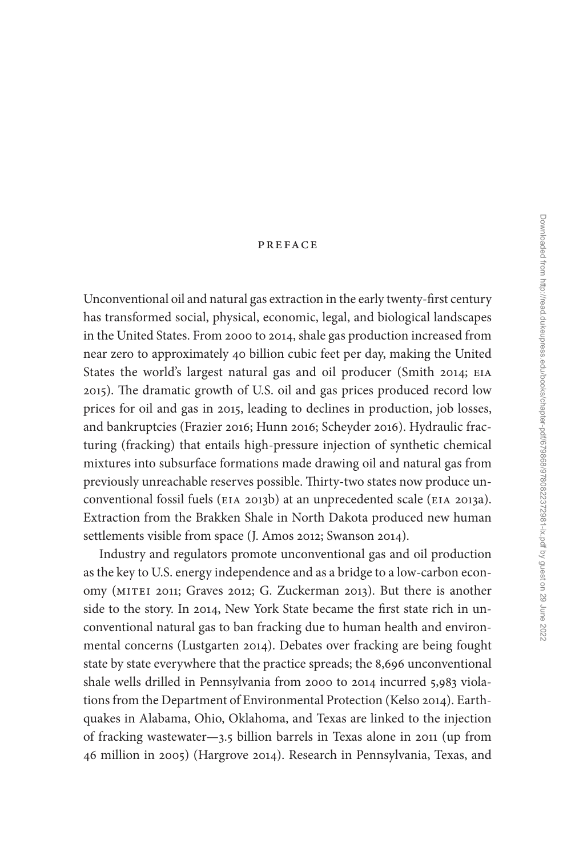## [preface](#page--1-0)

Unconventional oil and natural gas extraction in the early twenty-first century has transformed social, physical, economic, legal, and biological landscapes in the United States. From 2000 to 2014, shale gas production increased from near zero to approximately 40 billion cubic feet per day, making the United States the world's largest natural gas and oil producer (Smith 2014; eia 2015). The dramatic growth of U.S. oil and gas prices produced record low prices for oil and gas in 2015, leading to declines in production, job losses, and bankruptcies (Frazier 2016; Hunn 2016; Scheyder 2016). Hydraulic fracturing (fracking) that entails high-pressure injection of synthetic chemical mixtures into subsurface formations made drawing oil and natural gas from previously unreachable reserves possible. Thirty-two states now produce unconventional fossil fuels (eia 2013b) at an unprecedented scale (eia 2013a). Extraction from the Brakken Shale in North Dakota produced new human settlements visible from space (J. Amos 2012; Swanson 2014).

Industry and regulators promote unconventional gas and oil production as the key to U.S. energy independence and as a bridge to a low-carbon economy (mitei 2011; Graves 2012; G. Zuckerman 2013). But there is another side to the story. In 2014, New York State became the first state rich in unconventional natural gas to ban fracking due to human health and environmental concerns (Lustgarten 2014). Debates over fracking are being fought state by state everywhere that the practice spreads; the 8,696 unconventional shale wells drilled in Pennsylvania from 2000 to 2014 incurred 5,983 violations from the Department of Environmental Protection (Kelso 2014). Earthquakes in Alabama, Ohio, Oklahoma, and Texas are linked to the injection of fracking wastewater—3.5 billion barrels in Texas alone in 2011 (up from 46 million in 2005) (Hargrove 2014). Research in Pennsylvania, Texas, and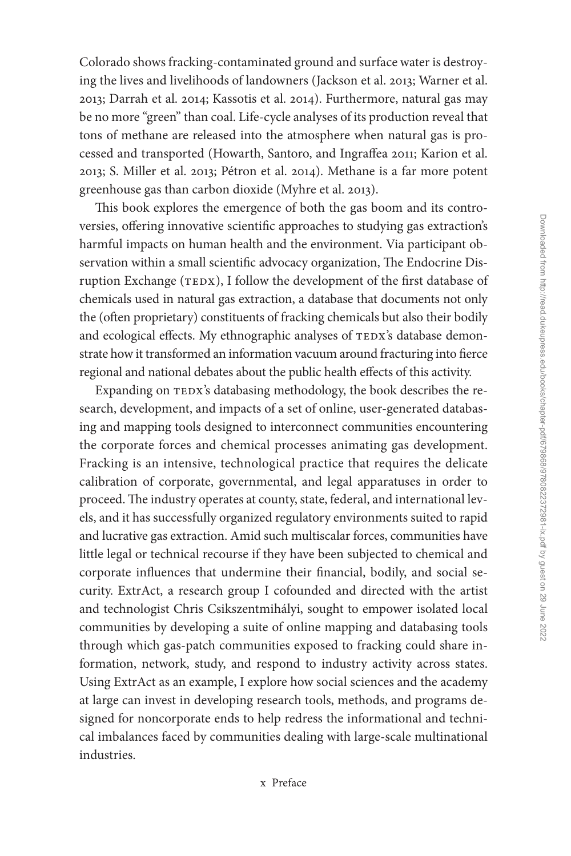Colorado shows fracking-contaminated ground and surface water is destroying the lives and livelihoods of landowners (Jackson et al. 2013; Warner et al. 2013; Darrah et al. 2014; Kassotis et al. 2014). Furthermore, natural gas may be no more "green" than coal. Life-cycle analyses of its production reveal that tons of methane are released into the atmosphere when natural gas is processed and transported (Howarth, Santoro, and Ingraffea 2011; Karion et al. 2013; S. Miller et al. 2013; Pétron et al. 2014). Methane is a far more potent greenhouse gas than carbon dioxide (Myhre et al. 2013).

This book explores the emergence of both the gas boom and its controversies, offering innovative scientific approaches to studying gas extraction's harmful impacts on human health and the environment. Via participant observation within a small scientific advocacy organization, The Endocrine Disruption Exchange (TEDX), I follow the development of the first database of chemicals used in natural gas extraction, a database that documents not only the (often proprietary) constituents of fracking chemicals but also their bodily and ecological effects. My ethnographic analyses of TEDX's database demonstrate how it transformed an information vacuum around fracturing into fierce regional and national debates about the public health effects of this activity.

Expanding on TEDX's databasing methodology, the book describes the research, development, and impacts of a set of online, user-generated databasing and mapping tools designed to interconnect communities encountering the corporate forces and chemical processes animating gas development. Fracking is an intensive, technological practice that requires the delicate calibration of corporate, governmental, and legal apparatuses in order to proceed. The industry operates at county, state, federal, and international levels, and it has successfully organized regulatory environments suited to rapid and lucrative gas extraction. Amid such multiscalar forces, communities have little legal or technical recourse if they have been subjected to chemical and corporate influences that undermine their financial, bodily, and social security. ExtrAct, a research group I cofounded and directed with the artist and technologist Chris Csikszentmihályi, sought to empower isolated local communities by developing a suite of online mapping and databasing tools through which gas-patch communities exposed to fracking could share information, network, study, and respond to industry activity across states. Using ExtrAct as an example, I explore how social sciences and the academy at large can invest in developing research tools, methods, and programs designed for noncorporate ends to help redress the informational and technical imbalances faced by communities dealing with large-scale multinational industries.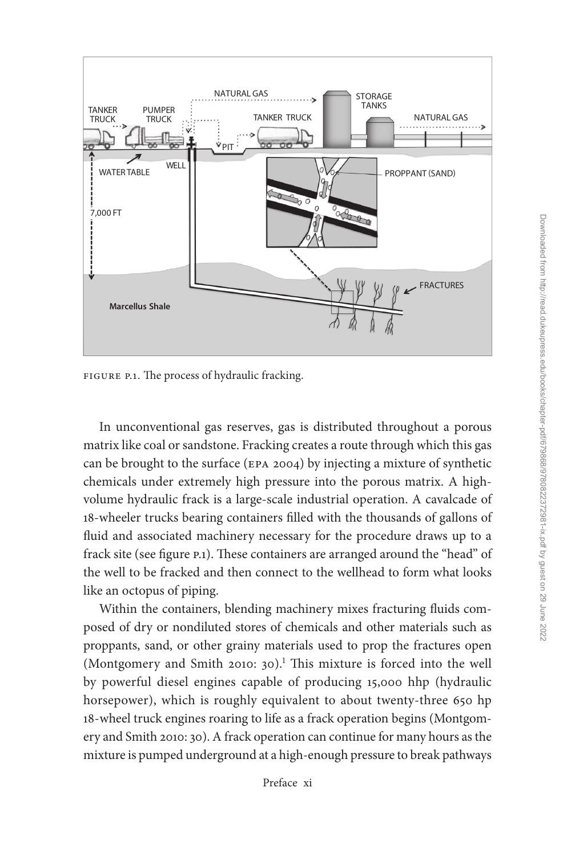

FIGURE P.1. The process of hydraulic fracking.

In unconventional gas reserves, gas is distributed throughout a porous matrix like coal or sandstone. Fracking creates a route through which this gas can be brought to the surface (epa 2004) by injecting a mixture of synthetic chemicals under extremely high pressure into the porous matrix. A highvolume hydraulic frack is a large-scale industrial operation. A cavalcade of 18-wheeler trucks bearing containers filled with the thousands of gallons of fluid and associated machinery necessary for the procedure draws up to a frack site (see figure p.1). These containers are arranged around the "head" of the well to be fracked and then connect to the wellhead to form what looks like an octopus of piping.

Within the containers, blending machinery mixes fracturing fluids composed of dry or nondiluted stores of chemicals and other materials such as proppants, sand, or other grainy materials used to prop the fractures open (Montgomery and Smith 2010: 30).<sup>1</sup> This mixture is forced into the well by powerful diesel engines capable of producing 15,000 hhp (hydraulic horsepower), which is roughly equivalent to about twenty-three 650 hp 18-wheel truck engines roaring to life as a frack operation begins (Montgomery and Smith 2010: 30). A frack operation can continue for many hours as the mixture is pumped underground at a high-enough pressure to break pathways